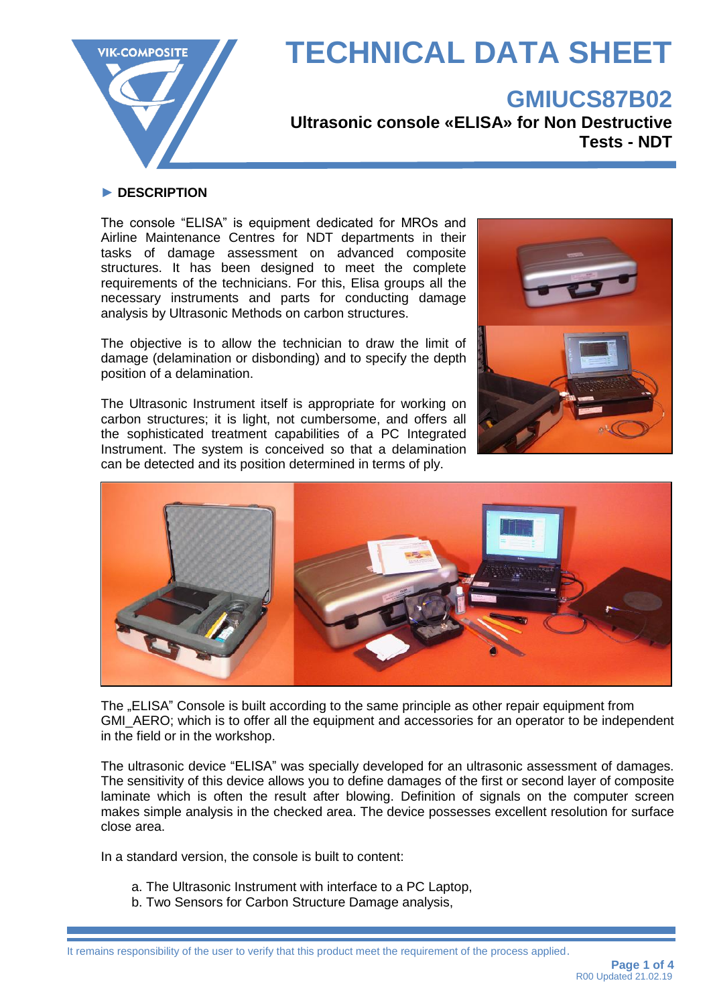

### **GMIUCS87B02**

**Ultrasonic console «ELISA» for Non Destructive Tests - NDT**

#### **► DESCRIPTION**

The console "ELISA" is equipment dedicated for MROs and Airline Maintenance Centres for NDT departments in their tasks of damage assessment on advanced composite structures. It has been designed to meet the complete requirements of the technicians. For this, Elisa groups all the necessary instruments and parts for conducting damage analysis by Ultrasonic Methods on carbon structures.

The objective is to allow the technician to draw the limit of damage (delamination or disbonding) and to specify the depth position of a delamination.

The Ultrasonic Instrument itself is appropriate for working on carbon structures; it is light, not cumbersome, and offers all the sophisticated treatment capabilities of a PC Integrated Instrument. The system is conceived so that a delamination can be detected and its position determined in terms of ply.





The "ELISA" Console is built according to the same principle as other repair equipment from GMI\_AERO; which is to offer all the equipment and accessories for an operator to be independent in the field or in the workshop.

The ultrasonic device "ELISA" was specially developed for an ultrasonic assessment of damages. The sensitivity of this device allows you to define damages of the first or second layer of composite laminate which is often the result after blowing. Definition of signals on the computer screen makes simple analysis in the checked area. The device possesses excellent resolution for surface close area.

In a standard version, the console is built to content:

- a. The Ultrasonic Instrument with interface to a PC Laptop,
- b. Two Sensors for Carbon Structure Damage analysis,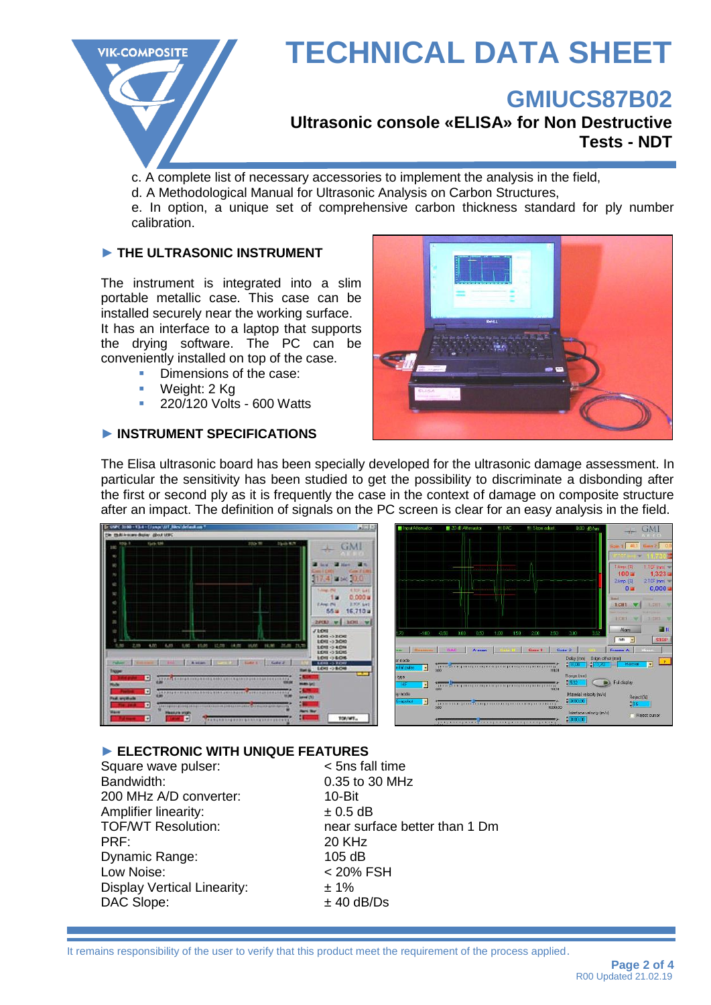

### **GMIUCS87B02**

**Ultrasonic console «ELISA» for Non Destructive Tests - NDT**

c. A complete list of necessary accessories to implement the analysis in the field,

d. A Methodological Manual for Ultrasonic Analysis on Carbon Structures,

e. In option, a unique set of comprehensive carbon thickness standard for ply number calibration.

### **► THE ULTRASONIC INSTRUMENT**

The instrument is integrated into a slim portable metallic case. This case can be installed securely near the working surface. It has an interface to a laptop that supports the drying software. The PC can be

conveniently installed on top of the case.

- Dimensions of the case:
- Weight: 2 Kg
- 220/120 Volts 600 Watts

#### **► INSTRUMENT SPECIFICATIONS**



The Elisa ultrasonic board has been specially developed for the ultrasonic damage assessment. In particular the sensitivity has been studied to get the possibility to discriminate a disbonding after the first or second ply as it is frequently the case in the context of damage on composite structure after an impact. The definition of signals on the PC screen is clear for an easy analysis in the field.



**► ELECTRONIC WITH UNIQUE FEATURES** Square wave pulser: Bandwidth: 0.35 to 30 MHz 200 MHz A/D converter: 10-Bit Amplifier linearity:  $\pm 0.5$  dB<br>TOF/WT Resolution: near surf near surface better than 1 Dm PRF: 20 KHz Dynamic Range: 105 dB Low Noise: < 20% FSH Display Vertical Linearity:  $\pm 1\%$  $DAC$  Slope:  $± 40$  dB/Ds

It remains responsibility of the user to verify that this product meet the requirement of the process applied.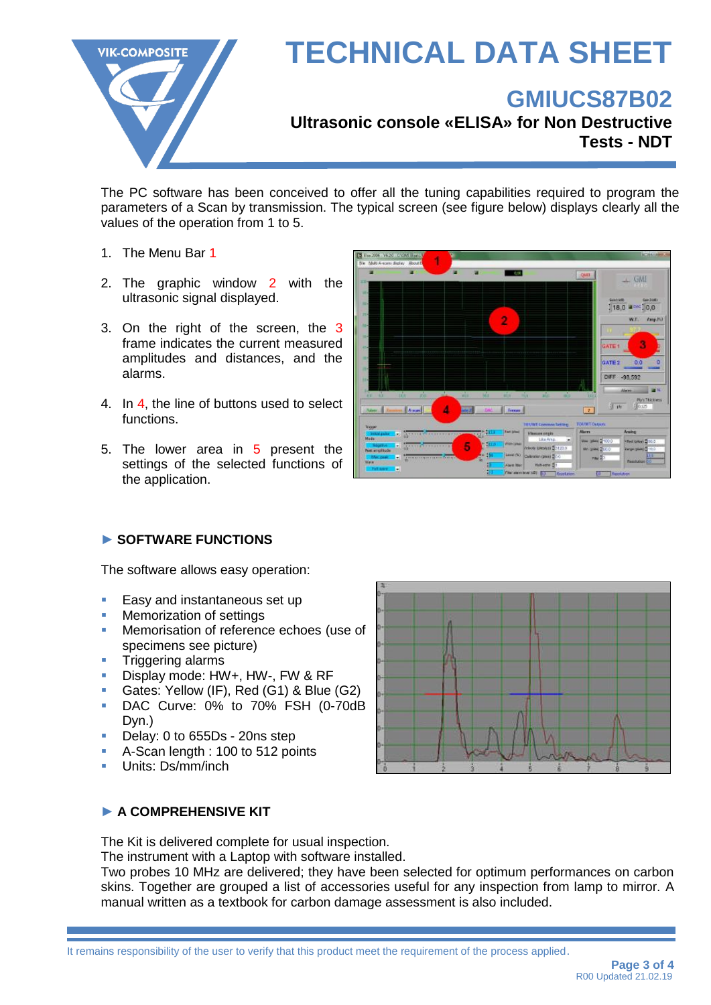

## **GMIUCS87B02**

**Ultrasonic console «ELISA» for Non Destructive Tests - NDT**

The PC software has been conceived to offer all the tuning capabilities required to program the parameters of a Scan by transmission. The typical screen (see figure below) displays clearly all the values of the operation from 1 to 5.

- 1. The Menu Bar 1
- 2. The graphic window 2 with the ultrasonic signal displayed.
- 3. On the right of the screen, the 3 frame indicates the current measured amplitudes and distances, and the alarms.
- 4. In 4, the line of buttons used to select functions.
- 5. The lower area in 5 present the settings of the selected functions of the application.



### **► SOFTWARE FUNCTIONS**

The software allows easy operation:

- Easy and instantaneous set up
- **Memorization of settings**
- Memorisation of reference echoes (use of specimens see picture)
- **Triggering alarms**
- Display mode: HW+, HW-, FW & RF
- Gates: Yellow (IF), Red (G1) & Blue (G2)
- **DAC Curve: 0% to 70% FSH (0-70dB** Dyn.)
- Delay: 0 to 655Ds 20ns step
- A-Scan length : 100 to 512 points
- Units: Ds/mm/inch



### **► A COMPREHENSIVE KIT**

The Kit is delivered complete for usual inspection.

The instrument with a Laptop with software installed.

Two probes 10 MHz are delivered; they have been selected for optimum performances on carbon skins. Together are grouped a list of accessories useful for any inspection from lamp to mirror. A manual written as a textbook for carbon damage assessment is also included.